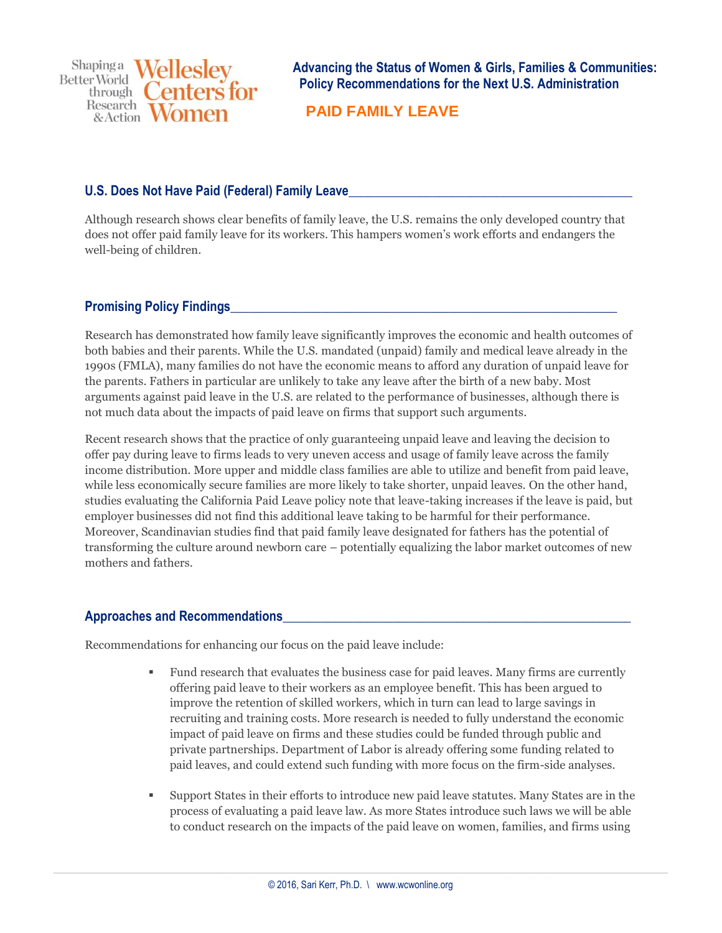Shapinga Wellesley **Better World** enters for through  $\left($ Research & Action

**Advancing the Status of Women & Girls, Families & Communities: Policy Recommendations for the Next U.S. Administration**

 **PAID FAMILY LEAVE**

## U.S. Does Not Have Paid (Federal) Family Leave

Although research shows clear benefits of family leave, the U.S. remains the only developed country that does not offer paid family leave for its workers. This hampers women's work efforts and endangers the well-being of children.

## **Promising Policy Findings**

Research has demonstrated how family leave significantly improves the economic and health outcomes of both babies and their parents. While the U.S. mandated (unpaid) family and medical leave already in the 1990s (FMLA), many families do not have the economic means to afford any duration of unpaid leave for the parents. Fathers in particular are unlikely to take any leave after the birth of a new baby. Most arguments against paid leave in the U.S. are related to the performance of businesses, although there is not much data about the impacts of paid leave on firms that support such arguments.

Recent research shows that the practice of only guaranteeing unpaid leave and leaving the decision to offer pay during leave to firms leads to very uneven access and usage of family leave across the family income distribution. More upper and middle class families are able to utilize and benefit from paid leave, while less economically secure families are more likely to take shorter, unpaid leaves. On the other hand, studies evaluating the California Paid Leave policy note that leave-taking increases if the leave is paid, but employer businesses did not find this additional leave taking to be harmful for their performance. Moreover, Scandinavian studies find that paid family leave designated for fathers has the potential of transforming the culture around newborn care – potentially equalizing the labor market outcomes of new mothers and fathers.

## **Approaches and Recommendations\_\_\_\_\_\_\_\_\_\_\_\_\_\_\_\_\_\_\_\_\_\_\_\_\_\_\_\_\_\_\_\_\_\_\_\_\_\_\_\_\_\_\_\_\_\_\_\_\_\_\_\_\_\_**

Recommendations for enhancing our focus on the paid leave include:

- Fund research that evaluates the business case for paid leaves. Many firms are currently offering paid leave to their workers as an employee benefit. This has been argued to improve the retention of skilled workers, which in turn can lead to large savings in recruiting and training costs. More research is needed to fully understand the economic impact of paid leave on firms and these studies could be funded through public and private partnerships. Department of Labor is already offering some funding related to paid leaves, and could extend such funding with more focus on the firm-side analyses.
- Support States in their efforts to introduce new paid leave statutes. Many States are in the process of evaluating a paid leave law. As more States introduce such laws we will be able to conduct research on the impacts of the paid leave on women, families, and firms using